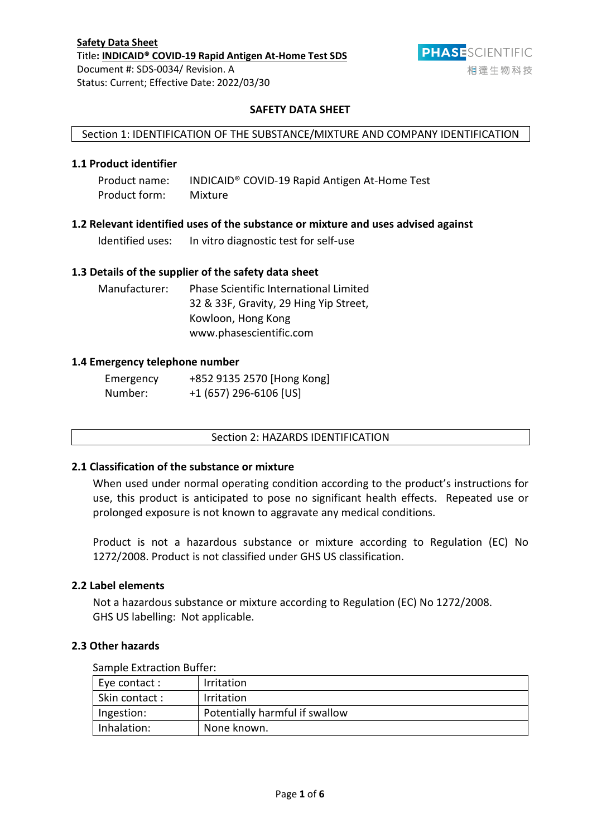

# **SAFETY DATA SHEET**

## Section 1: IDENTIFICATION OF THE SUBSTANCE/MIXTURE AND COMPANY IDENTIFICATION

# **1.1 Product identifier**

| Product name: | INDICAID <sup>®</sup> COVID-19 Rapid Antigen At-Home Test |
|---------------|-----------------------------------------------------------|
| Product form: | Mixture                                                   |

## **1.2 Relevant identified uses of the substance or mixture and uses advised against**

Identified uses: In vitro diagnostic test for self-use

## **1.3 Details of the supplier of the safety data sheet**

Manufacturer: Phase Scientific International Limited 32 & 33F, Gravity, 29 Hing Yip Street, Kowloon, Hong Kong www.phasescientific.com

### **1.4 Emergency telephone number**

| Emergency | +852 9135 2570 [Hong Kong] |
|-----------|----------------------------|
| Number:   | $+1$ (657) 296-6106 [US]   |

## Section 2: HAZARDS IDENTIFICATION

### **2.1 Classification of the substance or mixture**

When used under normal operating condition according to the product's instructions for use, this product is anticipated to pose no significant health effects. Repeated use or prolonged exposure is not known to aggravate any medical conditions.

Product is not a hazardous substance or mixture according to Regulation (EC) No 1272/2008. Product is not classified under GHS US classification.

## **2.2 Label elements**

Not a hazardous substance or mixture according to Regulation (EC) No 1272/2008. GHS US labelling: Not applicable.

### **2.3 Other hazards**

Sample Extraction Buffer:

| <b>Sallipic LAGREGULI DUITCI.</b> |                                |  |
|-----------------------------------|--------------------------------|--|
| Eye contact :                     | <b>Irritation</b>              |  |
| Skin contact:                     | <b>Irritation</b>              |  |
| Ingestion:                        | Potentially harmful if swallow |  |
| Inhalation:                       | None known.                    |  |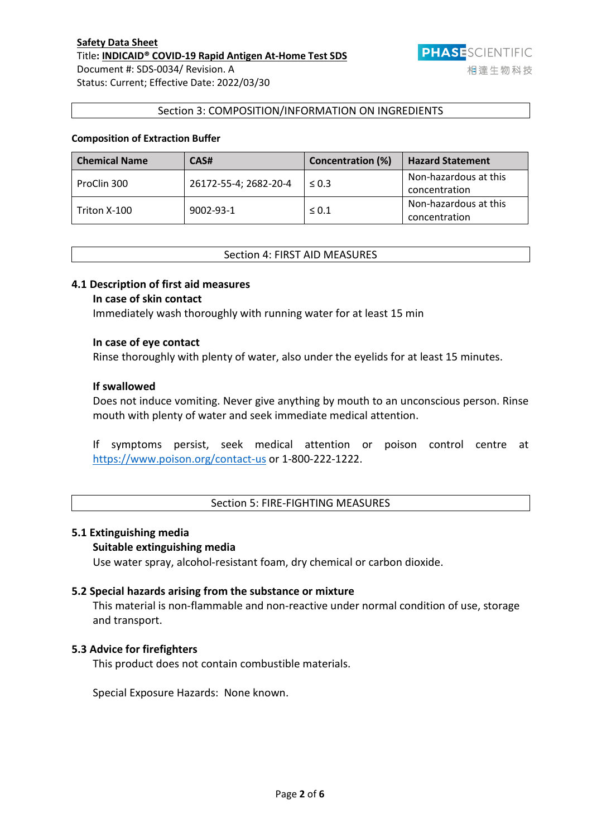

#### Section 3: COMPOSITION/INFORMATION ON INGREDIENTS

# **Composition of Extraction Buffer**

| <b>Chemical Name</b> | CAS#                  | <b>Concentration (%)</b> | <b>Hazard Statement</b> |
|----------------------|-----------------------|--------------------------|-------------------------|
| ProClin 300          | 26172-55-4; 2682-20-4 | $\leq 0.3$               | Non-hazardous at this   |
|                      |                       |                          | concentration           |
|                      | 9002-93-1             | $\leq 0.1$               | Non-hazardous at this   |
| Triton X-100         |                       |                          | concentration           |

### Section 4: FIRST AID MEASURES

### **4.1 Description of first aid measures**

## **In case of skin contact**

Immediately wash thoroughly with running water for at least 15 min

## **In case of eye contact**

Rinse thoroughly with plenty of water, also under the eyelids for at least 15 minutes.

# **If swallowed**

Does not induce vomiting. Never give anything by mouth to an unconscious person. Rinse mouth with plenty of water and seek immediate medical attention.

If symptoms persist, seek medical attention or poison control centre at <https://www.poison.org/contact-us> or 1-800-222-1222.

## Section 5: FIRE-FIGHTING MEASURES

#### **5.1 Extinguishing media**

#### **Suitable extinguishing media**

Use water spray, alcohol-resistant foam, dry chemical or carbon dioxide.

#### **5.2 Special hazards arising from the substance or mixture**

This material is non-flammable and non-reactive under normal condition of use, storage and transport.

## **5.3 Advice for firefighters**

This product does not contain combustible materials.

Special Exposure Hazards: None known.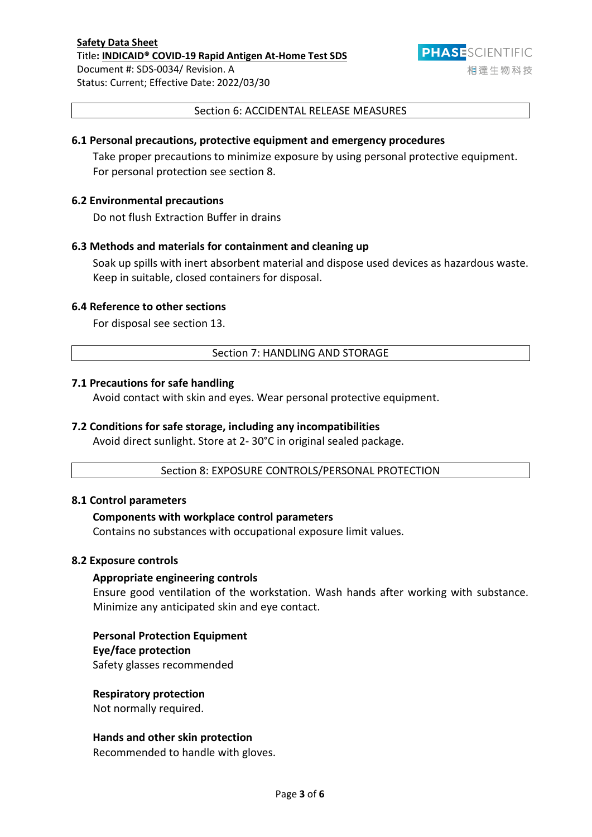

### Section 6: ACCIDENTAL RELEASE MEASURES

### **6.1 Personal precautions, protective equipment and emergency procedures**

Take proper precautions to minimize exposure by using personal protective equipment. For personal protection see section 8.

## **6.2 Environmental precautions**

Do not flush Extraction Buffer in drains

# **6.3 Methods and materials for containment and cleaning up**

Soak up spills with inert absorbent material and dispose used devices as hazardous waste. Keep in suitable, closed containers for disposal.

### **6.4 Reference to other sections**

For disposal see section 13.

### Section 7: HANDLING AND STORAGE

### **7.1 Precautions for safe handling**

Avoid contact with skin and eyes. Wear personal protective equipment.

## **7.2 Conditions for safe storage, including any incompatibilities**

Avoid direct sunlight. Store at 2- 30°C in original sealed package.

Section 8: EXPOSURE CONTROLS/PERSONAL PROTECTION

#### **8.1 Control parameters**

### **Components with workplace control parameters**

Contains no substances with occupational exposure limit values.

#### **8.2 Exposure controls**

#### **Appropriate engineering controls**

Ensure good ventilation of the workstation. Wash hands after working with substance. Minimize any anticipated skin and eye contact.

#### **Personal Protection Equipment**

#### **Eye/face protection**

Safety glasses recommended

### **Respiratory protection**

Not normally required.

#### **Hands and other skin protection**

Recommended to handle with gloves.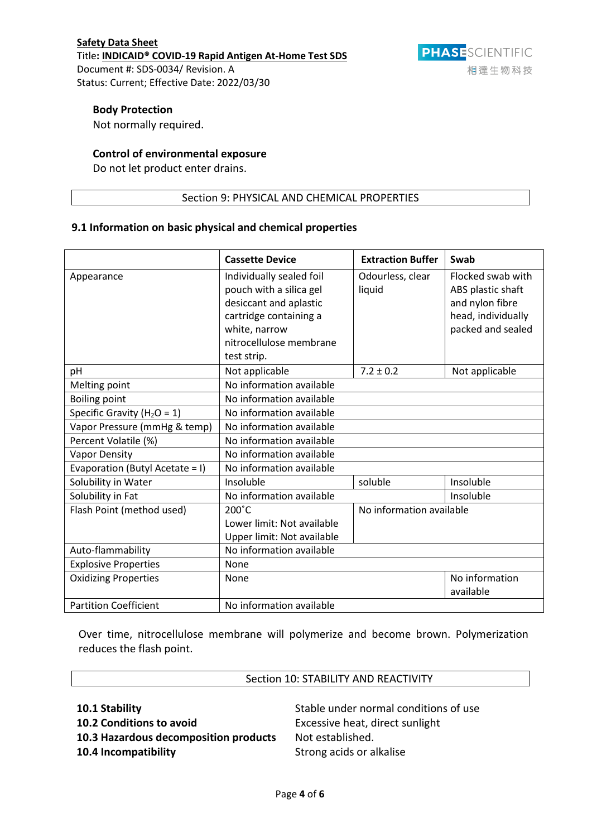# **Body Protection**

Not normally required.

## **Control of environmental exposure**

Do not let product enter drains.

# Section 9: PHYSICAL AND CHEMICAL PROPERTIES

# **9.1 Information on basic physical and chemical properties**

|                                 | <b>Cassette Device</b>     | <b>Extraction Buffer</b> | Swab               |
|---------------------------------|----------------------------|--------------------------|--------------------|
| Appearance                      | Individually sealed foil   | Odourless, clear         | Flocked swab with  |
|                                 | pouch with a silica gel    | liquid                   | ABS plastic shaft  |
|                                 | desiccant and aplastic     |                          | and nylon fibre    |
|                                 | cartridge containing a     |                          | head, individually |
|                                 | white, narrow              |                          | packed and sealed  |
|                                 | nitrocellulose membrane    |                          |                    |
|                                 | test strip.                |                          |                    |
| рH                              | Not applicable             | $7.2 \pm 0.2$            | Not applicable     |
| Melting point                   | No information available   |                          |                    |
| <b>Boiling point</b>            | No information available   |                          |                    |
| Specific Gravity ( $H_2O = 1$ ) | No information available   |                          |                    |
| Vapor Pressure (mmHg & temp)    | No information available   |                          |                    |
| Percent Volatile (%)            | No information available   |                          |                    |
| <b>Vapor Density</b>            | No information available   |                          |                    |
| Evaporation (Butyl Acetate = I) | No information available   |                          |                    |
| Solubility in Water             | Insoluble                  | soluble                  | Insoluble          |
| Solubility in Fat               | No information available   |                          | Insoluble          |
| Flash Point (method used)       | $200^{\circ}$ C            | No information available |                    |
|                                 | Lower limit: Not available |                          |                    |
|                                 | Upper limit: Not available |                          |                    |
| Auto-flammability               | No information available   |                          |                    |
| <b>Explosive Properties</b>     | <b>None</b>                |                          |                    |
| <b>Oxidizing Properties</b>     | <b>None</b>                |                          | No information     |
|                                 |                            |                          | available          |
| <b>Partition Coefficient</b>    | No information available   |                          |                    |

Over time, nitrocellulose membrane will polymerize and become brown. Polymerization reduces the flash point.

| Section 10: STABILITY AND REACTIVITY  |                                       |
|---------------------------------------|---------------------------------------|
| 10.1 Stability                        | Stable under normal conditions of use |
| 10.2 Conditions to avoid              | Excessive heat, direct sunlight       |
| 10.3 Hazardous decomposition products | Not established.                      |
| 10.4 Incompatibility                  | Strong acids or alkalise              |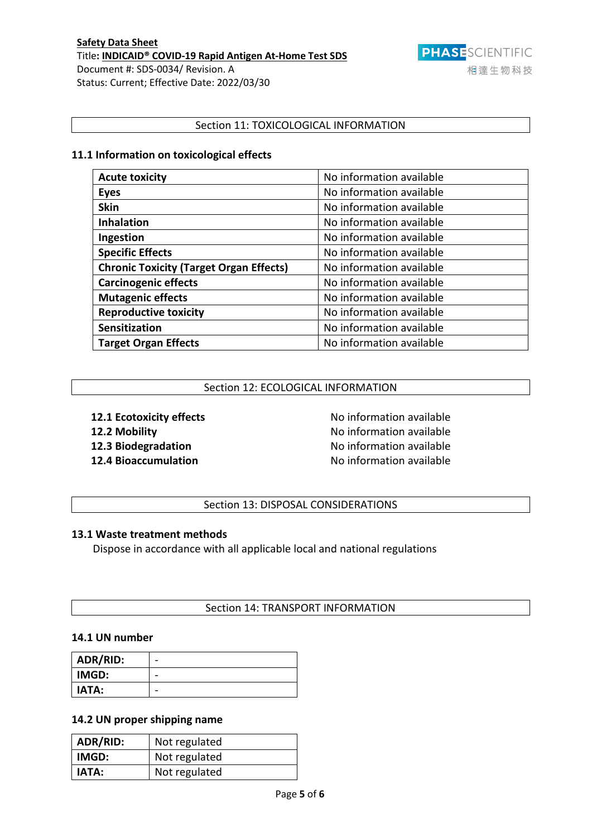

# Section 11: TOXICOLOGICAL INFORMATION

# **11.1 Information on toxicological effects**

| <b>Acute toxicity</b>                          | No information available |
|------------------------------------------------|--------------------------|
| <b>Eyes</b>                                    | No information available |
| <b>Skin</b>                                    | No information available |
| <b>Inhalation</b>                              | No information available |
| Ingestion                                      | No information available |
| <b>Specific Effects</b>                        | No information available |
| <b>Chronic Toxicity (Target Organ Effects)</b> | No information available |
| <b>Carcinogenic effects</b>                    | No information available |
| <b>Mutagenic effects</b>                       | No information available |
| <b>Reproductive toxicity</b>                   | No information available |
| Sensitization                                  | No information available |
| <b>Target Organ Effects</b>                    | No information available |

## Section 12: ECOLOGICAL INFORMATION

**12.1 Ecotoxicity effects** No information available **12.2 Mobility 12.2 Mobility 12.2 Mobility 12.2 Mobility 12.3 Biodegradation** No information available **12.4 Bioaccumulation** and **No information** available

Section 13: DISPOSAL CONSIDERATIONS

## **13.1 Waste treatment methods**

Dispose in accordance with all applicable local and national regulations

## Section 14: TRANSPORT INFORMATION

## **14.1 UN number**

| ADR/RID:     |   |
|--------------|---|
| <b>IMGD:</b> |   |
| <b>IATA:</b> | - |

# **14.2 UN proper shipping name**

| ADR/RID:     | Not regulated |
|--------------|---------------|
| IMGD:        | Not regulated |
| <b>IATA:</b> | Not regulated |